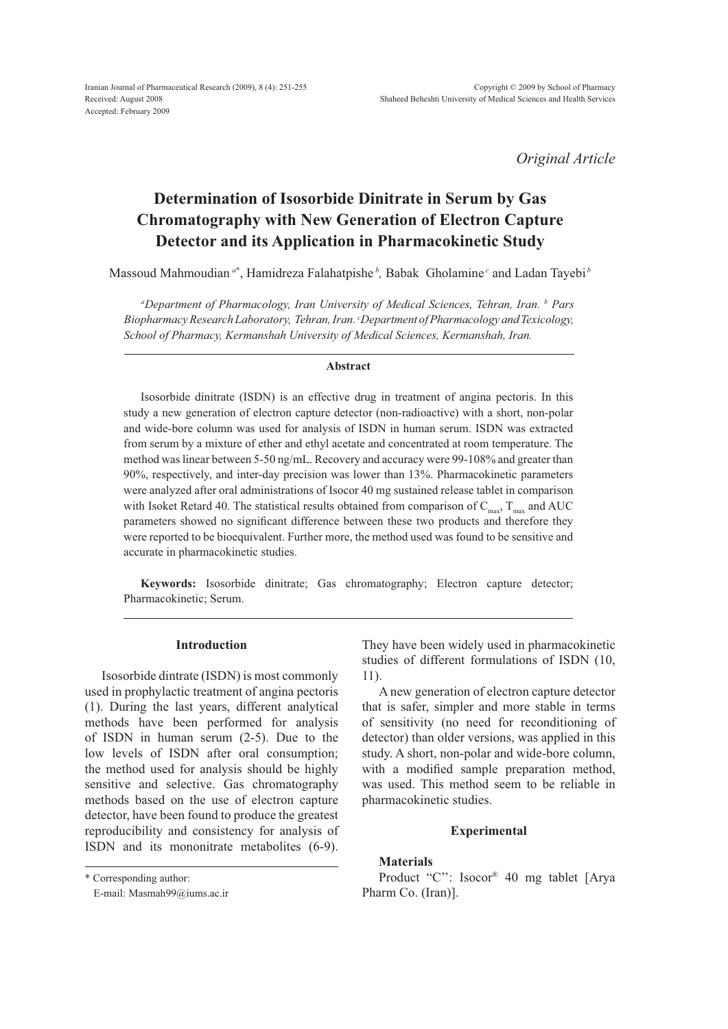Iranian Journal of Pharmaceutical Research (2009), 8 (4): 251-255 Received: August 2008 Accepted: February 2009

*Original Article*

# **Determination of Isosorbide Dinitrate in Serum by Gas Chromatography with New Generation of Electron Capture Detector and its Application in Pharmacokinetic Study**

Massoud Mahmoudian <sup>*a*\*</sup>, Hamidreza Falahatpishe <sup>*b*</sup>, Babak Gholamine <sup>*c*</sup> and Ladan Tayebi <sup>*b*</sup>

*a Department of Pharmacology, Iran University of Medical Sciences, Tehran, Iran. b Pars Biopharmacy Research Laboratory, Tehran, Iran. c Department of Pharmacology and Texicology, School of Pharmacy, Kermanshah University of Medical Sciences, Kermanshah, Iran.*

### **Abstract**

Isosorbide dinitrate (ISDN) is an effective drug in treatment of angina pectoris. In this study a new generation of electron capture detector (non-radioactive) with a short, non-polar and wide-bore column was used for analysis of ISDN in human serum. ISDN was extracted from serum by a mixture of ether and ethyl acetate and concentrated at room temperature. The method was linear between 5-50 ng/mL. Recovery and accuracy were 99-108% and greater than 90%, respectively, and inter-day precision was lower than 13%. Pharmacokinetic parameters were analyzed after oral administrations of Isocor 40 mg sustained release tablet in comparison with Isoket Retard 40. The statistical results obtained from comparison of  $C_{\text{max}}$ ,  $T_{\text{max}}$  and AUC parameters showed no significant difference between these two products and therefore they were reported to be bioequivalent. Further more, the method used was found to be sensitive and accurate in pharmacokinetic studies.

**Keywords:** Isosorbide dinitrate; Gas chromatography; Electron capture detector; Pharmacokinetic; Serum.

# **Introduction**

Isosorbide dintrate (ISDN) is most commonly used in prophylactic treatment of angina pectoris (1). During the last years, different analytical methods have been performed for analysis of ISDN in human serum (2-5). Due to the low levels of ISDN after oral consumption; the method used for analysis should be highly sensitive and selective. Gas chromatography methods based on the use of electron capture detector, have been found to produce the greatest reproducibility and consistency for analysis of ISDN and its mononitrate metabolites (6-9).

\* Corresponding author:

They have been widely used in pharmacokinetic studies of different formulations of ISDN (10, 11).

A new generation of electron capture detector that is safer, simpler and more stable in terms of sensitivity (no need for reconditioning of detector) than older versions, was applied in this study. A short, non-polar and wide-bore column, with a modified sample preparation method, was used. This method seem to be reliable in pharmacokinetic studies.

# **Experimental**

## **Materials**

Product "C'': Isocor® 40 mg tablet [Arya Pharm Co. (Iran)].

E-mail: Masmah99@iums.ac.ir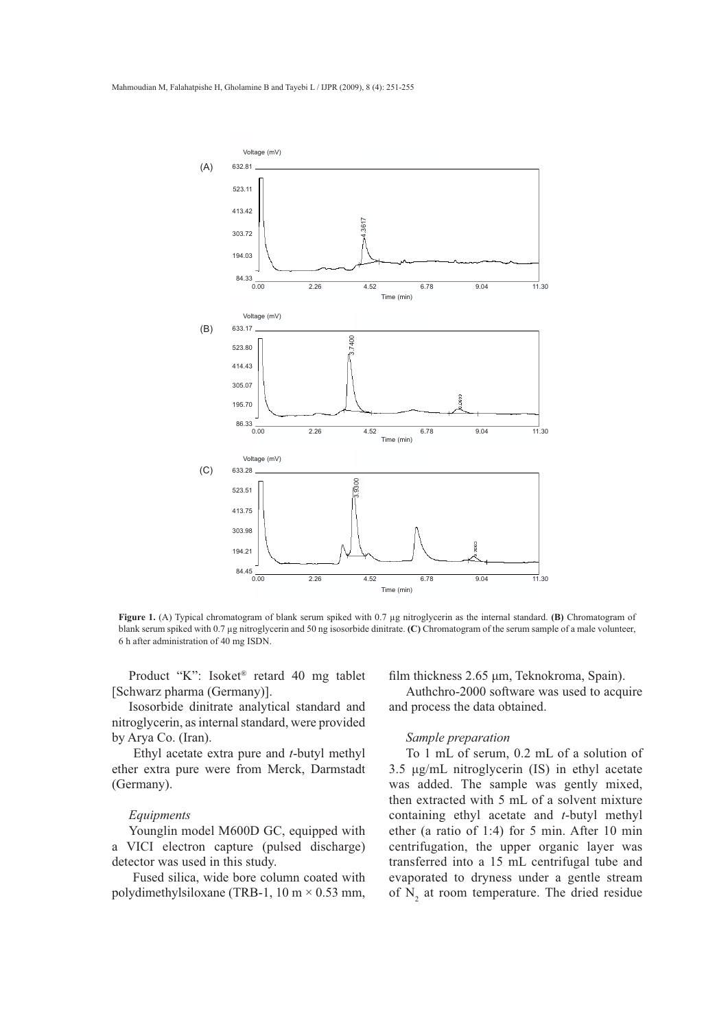

**Figure 1.** (A) Typical chromatogram of blank serum spiked with 0.7 μg nitroglycerin as the internal standard. **(B)** Chromatogram of blank serum spiked with 0.7 μg nitroglycerin and 50 ng isosorbide dinitrate. **(C)** Chromatogram of the serum sample of a male volunteer, 6 h after administration of 40 mg ISDN.

Product "K": Isoket® retard 40 mg tablet [Schwarz pharma (Germany)].

Isosorbide dinitrate analytical standard and nitroglycerin, as internal standard, were provided by Arya Co. (Iran).

 Ethyl acetate extra pure and *t*-butyl methyl ether extra pure were from Merck, Darmstadt (Germany).

#### *Equipments*

Younglin model M600D GC, equipped with a VICI electron capture (pulsed discharge) detector was used in this study.

 Fused silica, wide bore column coated with polydimethylsiloxane (TRB-1, 10 m  $\times$  0.53 mm, film thickness 2.65 um. Teknokroma, Spain).

Authchro-2000 software was used to acquire and process the data obtained.

### *Sample preparation*

To 1 mL of serum, 0.2 mL of a solution of  $3.5 \mu$ g/mL nitroglycerin (IS) in ethyl acetate was added. The sample was gently mixed, then extracted with 5 mL of a solvent mixture containing ethyl acetate and *t*-butyl methyl ether (a ratio of 1:4) for 5 min. After 10 min centrifugation, the upper organic layer was transferred into a 15 mL centrifugal tube and evaporated to dryness under a gentle stream of  $N_2$  at room temperature. The dried residue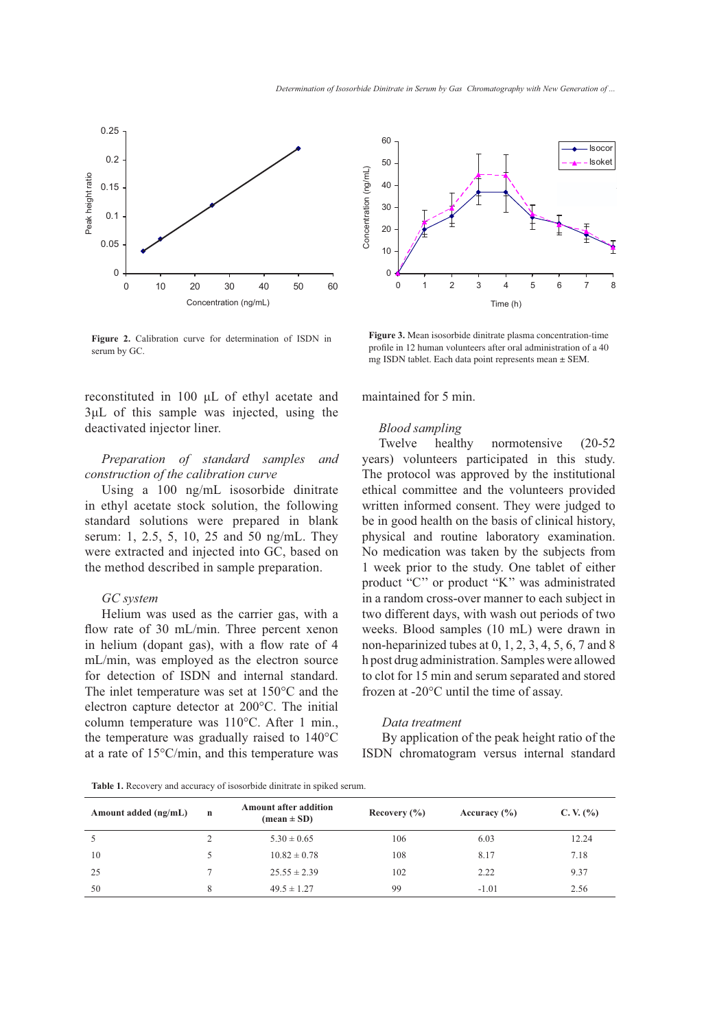

**Figure 2.** Calibration curve for determination of ISDN in serum by GC.

reconstituted in 100  $\mu$ L of ethyl acetate and  $3\mu$ L of this sample was injected, using the deactivated injector liner.

# *Preparation of standard samples and construction of the calibration curve*

Using a 100 ng/mL isosorbide dinitrate in ethyl acetate stock solution, the following standard solutions were prepared in blank serum: 1, 2.5, 5, 10, 25 and 50 ng/mL. They were extracted and injected into GC, based on the method described in sample preparation.

### *GC system*

Helium was used as the carrier gas, with a flow rate of 30 mL/min. Three percent xenon in helium (dopant gas), with a flow rate of  $4$ mL/min, was employed as the electron source for detection of ISDN and internal standard. The inlet temperature was set at 150°C and the electron capture detector at 200°C. The initial column temperature was 110°C. After 1 min., the temperature was gradually raised to 140°C at a rate of 15°C/min, and this temperature was



**Figure 3.** Mean isosorbide dinitrate plasma concentration-time profile in 12 human volunteers after oral administration of a 40 mg ISDN tablet. Each data point represents mean  $\pm$  SEM.

maintained for 5 min.

### *Blood sampling*

Twelve healthy normotensive (20-52 years) volunteers participated in this study. The protocol was approved by the institutional ethical committee and the volunteers provided written informed consent. They were judged to be in good health on the basis of clinical history, physical and routine laboratory examination. No medication was taken by the subjects from 1 week prior to the study. One tablet of either product "C'' or product "K'' was administrated in a random cross-over manner to each subject in two different days, with wash out periods of two weeks. Blood samples (10 mL) were drawn in non-heparinized tubes at  $0, 1, 2, 3, 4, 5, 6, 7$  and  $8$ h post drug administration. Samples were allowed to clot for 15 min and serum separated and stored frozen at -20°C until the time of assay.

### *Data treatment*

 By application of the peak height ratio of the ISDN chromatogram versus internal standard

**Table 1.** Recovery and accuracy of isosorbide dinitrate in spiked serum.

| Amount added (ng/mL) | n | Amount after addition<br>$(\text{mean} \pm \text{SD})$ | Recovery $(\% )$ | Accuracy $(\% )$ | C. V. $(\% )$ |
|----------------------|---|--------------------------------------------------------|------------------|------------------|---------------|
|                      |   | $5.30 \pm 0.65$                                        | 106              | 6.03             | 12.24         |
| 10                   |   | $10.82 \pm 0.78$                                       | 108              | 8.17             | 7.18          |
| 25                   |   | $25.55 \pm 2.39$                                       | 102              | 2.22             | 9.37          |
| 50                   |   | $49.5 \pm 1.27$                                        | 99               | $-1.01$          | 2.56          |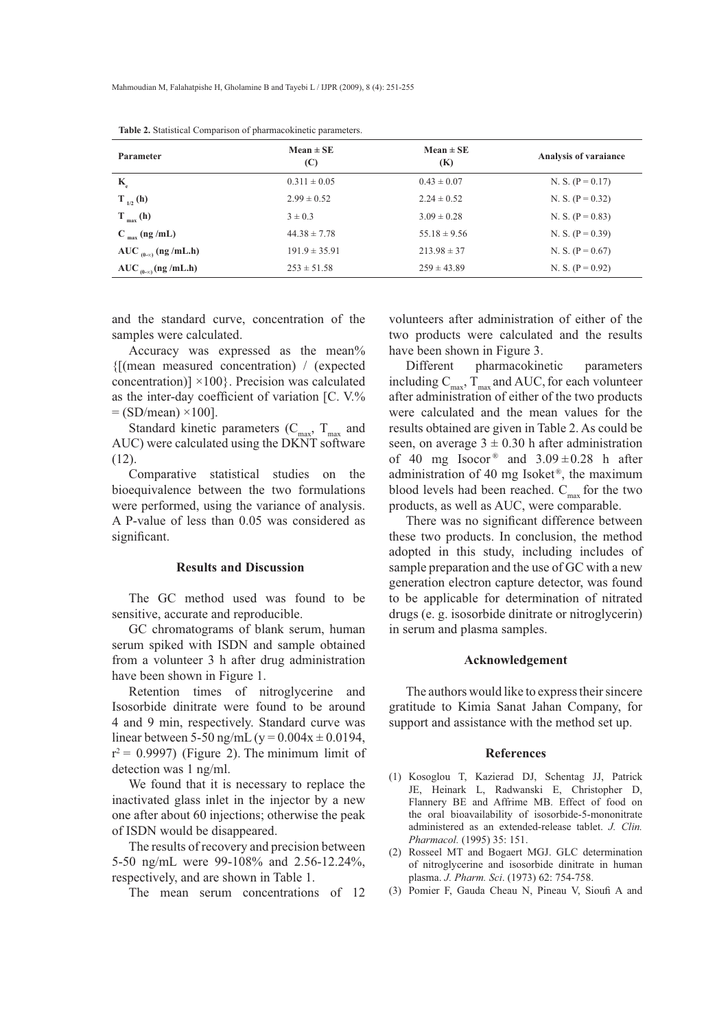| Parameter                      | $Mean \pm SE$<br>(C) | $Mean \pm SE$<br>(K) | Analysis of varaiance |
|--------------------------------|----------------------|----------------------|-----------------------|
| $K_e$                          | $0.311 \pm 0.05$     | $0.43 \pm 0.07$      | N. S. $(P = 0.17)$    |
| $T_{1/2}$ (h)                  | $2.99 \pm 0.52$      | $2.24 \pm 0.52$      | N. S. $(P = 0.32)$    |
| $T_{max}$ (h)                  | $3 \pm 0.3$          | $3.09 \pm 0.28$      | N. S. $(P = 0.83)$    |
| $C_{max}$ (ng /mL)             | $44.38 \pm 7.78$     | $55.18 \pm 9.56$     | N. S. $(P = 0.39)$    |
| AUC $_{(0-\infty)}$ (ng /mL.h) | $191.9 \pm 35.91$    | $213.98 \pm 37$      | N. S. $(P = 0.67)$    |
| AUC $_{(0-\infty)}$ (ng /mL.h) | $253 \pm 51.58$      | $259 \pm 43.89$      | N. S. $(P = 0.92)$    |

**Table 2.** Statistical Comparison of pharmacokinetic parameters.

and the standard curve, concentration of the samples were calculated.

Accuracy was expressed as the mean% {[(mean measured concentration) / (expected concentration)]  $\times$ 100}. Precision was calculated as the inter-day coefficient of variation  $\Gamma$ C. V.%  $=$  (SD/mean)  $\times$ 100].

Standard kinetic parameters  $(C_{\text{max}}, T_{\text{max}})$  and AUC) were calculated using the DKNT software (12).

Comparative statistical studies on the bioequivalence between the two formulations were performed, using the variance of analysis. A P-value of less than 0.05 was considered as significant.

# **Results and Discussion**

The GC method used was found to be sensitive, accurate and reproducible.

GC chromatograms of blank serum, human serum spiked with ISDN and sample obtained from a volunteer 3 h after drug administration have been shown in Figure 1.

Retention times of nitroglycerine and Isosorbide dinitrate were found to be around 4 and 9 min, respectively. Standard curve was linear between 5-50 ng/mL (y =  $0.004x \pm 0.0194$ ,  $r^2$  = 0.9997) (Figure 2). The minimum limit of detection was 1 ng/ml.

We found that it is necessary to replace the inactivated glass inlet in the injector by a new one after about 60 injections; otherwise the peak of ISDN would be disappeared.

The results of recovery and precision between 5-50 ng/mL were 99-108% and 2.56-12.24%, respectively, and are shown in Table 1.

The mean serum concentrations of 12

volunteers after administration of either of the two products were calculated and the results have been shown in Figure 3.

Different pharmacokinetic parameters including  $C_{\text{max}}$ ,  $T_{\text{max}}$  and AUC, for each volunteer after administration of either of the two products were calculated and the mean values for the results obtained are given in Table 2. As could be seen, on average  $3 \pm 0.30$  h after administration of 40 mg Isocor<sup>®</sup> and  $3.09 \pm 0.28$  h after administration of 40 mg Isoket®, the maximum blood levels had been reached.  $C_{\text{max}}$  for the two products, as well as AUC, were comparable.

There was no significant difference between these two products. In conclusion, the method adopted in this study, including includes of sample preparation and the use of GC with a new generation electron capture detector, was found to be applicable for determination of nitrated drugs (e. g. isosorbide dinitrate or nitroglycerin) in serum and plasma samples.

# **Acknowledgement**

The authors would like to express their sincere gratitude to Kimia Sanat Jahan Company, for support and assistance with the method set up.

### **References**

- (1) Kosoglou T, Kazierad DJ, Schentag JJ, Patrick JE, Heinark L, Radwanski E, Christopher D, Flannery BE and Affrime MB. Effect of food on the oral bioavailability of isosorbide-5-mononitrate administered as an extended-release tablet. *J. Clin. Pharmacol.* (1995) 35: 151.
- (2) Rosseel MT and Bogaert MGJ. GLC determination of nitroglycerine and isosorbide dinitrate in human plasma. *J. Pharm. Sci*. (1973) 62: 754-758.
- (3) Pomier F, Gauda Cheau N, Pineau V, Sioufi A and